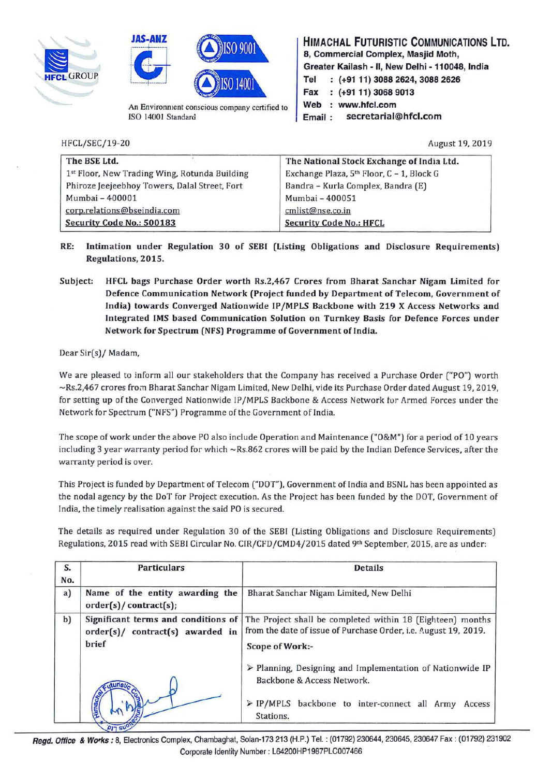





An Environment conscious company certified to ISO 14001 Standard

HFCL/SEC/19-20 August 19, 2019

**HIMACHAL FUTURISTIC COMMUNICATIONS LTD. 8, Commercial Complex, Masjid Moth, Greater Kailash** - II, **New Delhi** - **110048, India Tel (+91 11) 3088 2624, 3088 2626 Fax (+91 11) 3068 9013**  Web : www.hfcl.com **Email** : **secretarial@hfcl.com** 

| The BSE Ltd.                                  | The National Stock Exchange of India Ltd.             |
|-----------------------------------------------|-------------------------------------------------------|
| 1st Floor, New Trading Wing, Rotunda Building | Exchange Plaza, 5 <sup>th</sup> Floor, C - 1, Block G |
| Phiroze Jeejeebhoy Towers, Dalal Street, Fort | Bandra - Kurla Complex, Bandra (E)                    |
| Mumbai - 400001                               | Mumbai - 400051                                       |
| corp.relations@bseindia.com                   | cmlist@nse.co.in                                      |
| Security Code No.: 500183                     | <b>Security Code No.: HFCL</b>                        |

- **RE: Intimation under Regulation 30 of SEBI (Listing Obligations and Disclosure Requirements) Regulations, 2015.**
- **Subject: HFCL bags Purchase Order worth Rs.2,467 Crores from Bharat Sanchar Nigam Limited for Defence Communication Network (Project funded by Department of Telecom, Government of India) towards Converged Nationwide IP /MPLS Backbone with 219 X Access Networks and Integrated IMS based Communication Solution on Turnkey Basis for Defence Forces under Network for Spectrum (NFS) Programme of Government of India.**

Dear Sir(s)/ Madam,

We are pleased to inform all our stakeholders that the Company has received a Purchase Order ("PO") worth -Rs.2,467 crores from Bharat Sanchar Nigam Limited, New Delhi, vide its Purchase Order dated August 19, 2019, for setting up of the Converged Nationwide IP /MPLS Backbone & Access Network tor Armed Forces under the Network for Spectrum ("NFS") Programme of the Government of India.

The scope of work under the above PO also include Operation and Maintenance ("O&M") for a period of 10 years including 3 year warranty period for which ~Rs.862 crores will be paid by the Indian Defence Services, after the warranty period is over.

This Project is funded by Department of Telecom ("DOT"), Government of India and BSNL has been appointed as the nodal agency by the DoT for Project execution. As the Project has been funded by the DOT, Government of India, the timely realisation against the said PO is secured.

The details as required under Regulation 30 of the SEBI (Listing Obligations and Disclosure Requirements) Regulations, 2015 read with SEBI Circular No. CIR/CFD/CMD4/2015 dated 9th September, 2015, are as under:

| S.<br>No. | <b>Particulars</b>                                                               | <b>Details</b>                                                                                                                                              |
|-----------|----------------------------------------------------------------------------------|-------------------------------------------------------------------------------------------------------------------------------------------------------------|
| a)        | Name of the entity awarding the<br>order(s)/contract(s);                         | Bharat Sanchar Nigam Limited, New Delhi                                                                                                                     |
| b)        | Significant terms and conditions of<br>order(s)/ contract(s) awarded in<br>brief | The Project shall be completed within 18 (Eighteen) months<br>from the date of issue of Purchase Order, i.e. August 19, 2019.<br><b>Scope of Work:-</b>     |
|           | <b>Aimacha</b><br>$D = 6110$                                                     | > Planning, Designing and Implementation of Nationwide IP<br>Backbone & Access Network.<br>> IP/MPLS backbone to inter-connect all Army Access<br>Stations. |

**Regd. Office** & **wo~ks:** a, Electronics Complex, Chambaghat, Solan-173 213 (H.P.) Tel.: (01792) 230644, 230645, 230647 Fax : (01792) 231902 Corporate Identity Number : L64200HP1987PLC007466 ·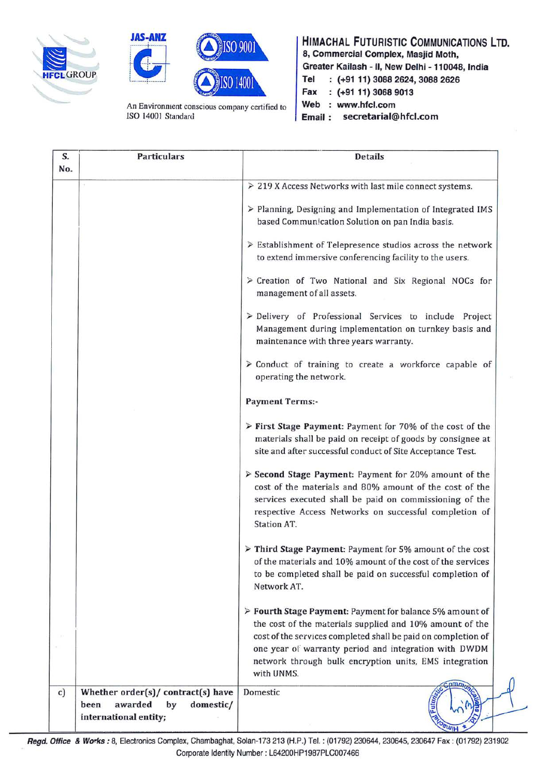





An Environment conscious company certified to ISO 14001 Standard

**HIMACHAL FUTURISTIC COMMUNICATIONS LTD. 8, Commercial Complex, Masjid Moth, Greater Kai lash** - II, **New Delhi** - **110048, India a COMMERCIAL COMPLEX, MASJIG MOUT,**<br>
Greater Kailash - II, New Delhi - 110048<br>
Tel : (+91 11) 3088 2624, 3088 2626<br>
Fax : (+91 11) 3068 9013<br>
Mob : www.hfology **Fax (+91 11) 3068 9013**  Web : www.hfcl.com

**Email** : **secretarial@hfcl.com** 

| S.<br>No. | <b>Particulars</b>                                                                                | <b>Details</b>                                                                                                                                                                                                                                                                                           |
|-----------|---------------------------------------------------------------------------------------------------|----------------------------------------------------------------------------------------------------------------------------------------------------------------------------------------------------------------------------------------------------------------------------------------------------------|
|           |                                                                                                   | > 219 X Access Networks with last mile connect systems.                                                                                                                                                                                                                                                  |
|           |                                                                                                   | > Planning, Designing and Implementation of Integrated IMS<br>based Communication Solution on pan India basis.                                                                                                                                                                                           |
|           |                                                                                                   | $\triangleright$ Establishment of Telepresence studios across the network<br>to extend immersive conferencing facility to the users.                                                                                                                                                                     |
|           |                                                                                                   | > Creation of Two National and Six Regional NOCs for<br>management of all assets.                                                                                                                                                                                                                        |
|           |                                                                                                   | > Delivery of Professional Services to include Project<br>Management during implementation on turnkey basis and<br>maintenance with three years warranty.                                                                                                                                                |
|           |                                                                                                   | $\geq$ Conduct of training to create a workforce capable of<br>operating the network.                                                                                                                                                                                                                    |
|           |                                                                                                   | <b>Payment Terms:-</b>                                                                                                                                                                                                                                                                                   |
|           |                                                                                                   | > First Stage Payment: Payment for 70% of the cost of the<br>materials shall be paid on receipt of goods by consignee at<br>site and after successful conduct of Site Acceptance Test.                                                                                                                   |
|           |                                                                                                   | > Second Stage Payment: Payment for 20% amount of the<br>cost of the materials and 80% amount of the cost of the<br>services executed shall be paid on commissioning of the<br>respective Access Networks on successful completion of<br>Station AT.                                                     |
|           |                                                                                                   | > Third Stage Payment: Payment for 5% amount of the cost<br>of the materials and 10% amount of the cost of the services<br>to be completed shall be paid on successful completion of<br>Network AT.                                                                                                      |
|           |                                                                                                   | > Fourth Stage Payment: Payment for balance 5% amount of<br>the cost of the materials supplied and 10% amount of the<br>cost of the services completed shall be paid on completion of<br>one year of warranty period and integration with DWDM<br>network through bulk encryption units, EMS integration |
|           |                                                                                                   | with UNMS.                                                                                                                                                                                                                                                                                               |
| c)        | Whether order(s)/ contract(s) have<br>awarded<br>by<br>domestic/<br>been<br>international entity; | Domestic<br><b>PWIH</b>                                                                                                                                                                                                                                                                                  |

**Regd. Office** & **wo~ks:** B, Electronics Complex, Chambaghat, Solan-173 213 (H.P.) Tel.: (01792) 230644, 230645, 230647 Fax : (01792) 231902 Corporate Identity Number : L64200HP1987PLC007466